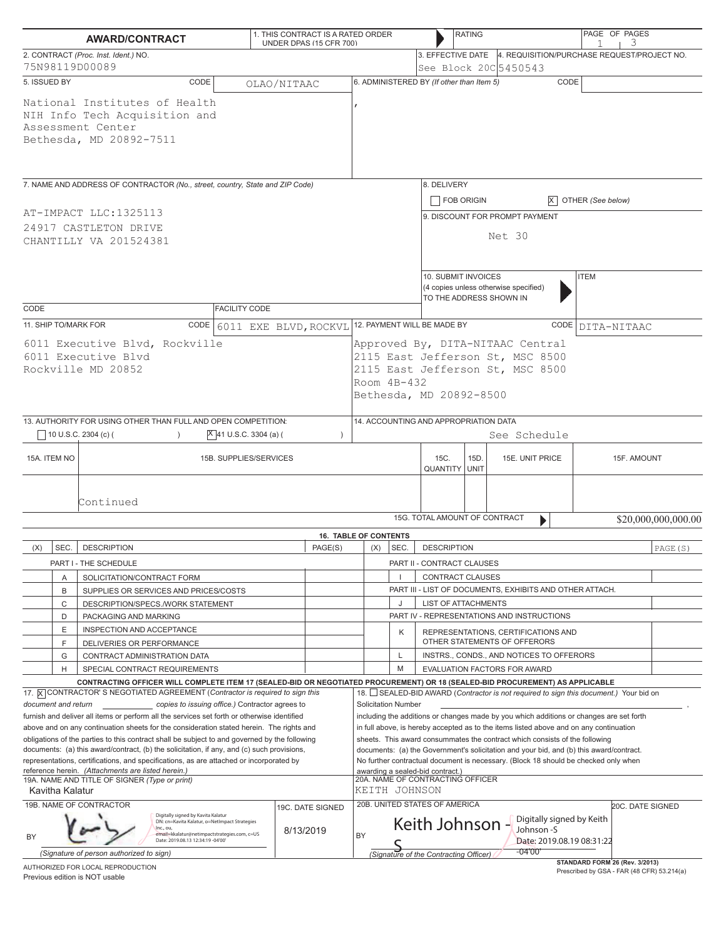| <b>AWARD/CONTRACT</b>                                                                                                                                                                                                                                                                   |        |                                                                                                                                                                |                                                 | 1. THIS CONTRACT IS A RATED ORDER<br>UNDER DPAS (15 CFR 700)                                                                                                                                                                                                     |                                       |                              |                                                                                                                                              | <b>RATING</b>                                                                                                                                                                                         |                                                                                                        | 3                                                                        | PAGE OF PAGES                                                                           |             |  |  |
|-----------------------------------------------------------------------------------------------------------------------------------------------------------------------------------------------------------------------------------------------------------------------------------------|--------|----------------------------------------------------------------------------------------------------------------------------------------------------------------|-------------------------------------------------|------------------------------------------------------------------------------------------------------------------------------------------------------------------------------------------------------------------------------------------------------------------|---------------------------------------|------------------------------|----------------------------------------------------------------------------------------------------------------------------------------------|-------------------------------------------------------------------------------------------------------------------------------------------------------------------------------------------------------|--------------------------------------------------------------------------------------------------------|--------------------------------------------------------------------------|-----------------------------------------------------------------------------------------|-------------|--|--|
| 2. CONTRACT (Proc. Inst. Ident.) NO.<br>75N98119D00089                                                                                                                                                                                                                                  |        |                                                                                                                                                                |                                                 |                                                                                                                                                                                                                                                                  |                                       |                              |                                                                                                                                              |                                                                                                                                                                                                       | See Block 20C 5450543                                                                                  | 3. EFFECTIVE DATE 4. REQUISITION/PURCHASE REQUEST/PROJECT NO.            |                                                                                         |             |  |  |
| 5. ISSUED BY                                                                                                                                                                                                                                                                            |        | CODE                                                                                                                                                           | OLAO/NITAAC                                     |                                                                                                                                                                                                                                                                  |                                       |                              |                                                                                                                                              | 6. ADMINISTERED BY (If other than Item 5)                                                                                                                                                             |                                                                                                        |                                                                          | CODE                                                                                    |             |  |  |
| National Institutes of Health<br>NIH Info Tech Acquisition and<br>Assessment Center<br>Bethesda, MD 20892-7511                                                                                                                                                                          |        |                                                                                                                                                                |                                                 |                                                                                                                                                                                                                                                                  |                                       |                              |                                                                                                                                              |                                                                                                                                                                                                       |                                                                                                        |                                                                          |                                                                                         |             |  |  |
| 7. NAME AND ADDRESS OF CONTRACTOR (No., street, country, State and ZIP Code)                                                                                                                                                                                                            |        |                                                                                                                                                                |                                                 |                                                                                                                                                                                                                                                                  |                                       |                              | 8. DELIVERY<br><b>FOB ORIGIN</b>                                                                                                             |                                                                                                                                                                                                       |                                                                                                        | $X$ OTHER (See below)                                                    |                                                                                         |             |  |  |
| AT-IMPACT LLC:1325113<br>24917 CASTLETON DRIVE<br>CHANTILLY VA 201524381                                                                                                                                                                                                                |        |                                                                                                                                                                |                                                 |                                                                                                                                                                                                                                                                  |                                       |                              | 9. DISCOUNT FOR PROMPT PAYMENT<br>Net 30                                                                                                     |                                                                                                                                                                                                       |                                                                                                        |                                                                          |                                                                                         |             |  |  |
|                                                                                                                                                                                                                                                                                         |        |                                                                                                                                                                |                                                 |                                                                                                                                                                                                                                                                  |                                       |                              |                                                                                                                                              |                                                                                                                                                                                                       | 10. SUBMIT INVOICES<br><b>ITEM</b><br>(4 copies unless otherwise specified)<br>TO THE ADDRESS SHOWN IN |                                                                          |                                                                                         |             |  |  |
| CODE                                                                                                                                                                                                                                                                                    |        |                                                                                                                                                                | <b>FACILITY CODE</b>                            |                                                                                                                                                                                                                                                                  |                                       |                              |                                                                                                                                              |                                                                                                                                                                                                       |                                                                                                        |                                                                          |                                                                                         |             |  |  |
| 11. SHIP TO/MARK FOR<br>CODE 6011 EXE BLVD, ROCKVL<br>6011 Executive Blvd, Rockville<br>6011 Executive Blvd<br>Rockville MD 20852                                                                                                                                                       |        |                                                                                                                                                                |                                                 |                                                                                                                                                                                                                                                                  |                                       |                              |                                                                                                                                              | 12. PAYMENT WILL BE MADE BY<br>CODE DITA-NITAAC<br>Approved By, DITA-NITAAC Central<br>2115 East Jefferson St, MSC 8500<br>2115 East Jefferson St, MSC 8500<br>Room 4B-432<br>Bethesda, MD 20892-8500 |                                                                                                        |                                                                          |                                                                                         |             |  |  |
| 13. AUTHORITY FOR USING OTHER THAN FULL AND OPEN COMPETITION:                                                                                                                                                                                                                           |        |                                                                                                                                                                |                                                 |                                                                                                                                                                                                                                                                  | 14. ACCOUNTING AND APPROPRIATION DATA |                              |                                                                                                                                              |                                                                                                                                                                                                       |                                                                                                        |                                                                          |                                                                                         |             |  |  |
|                                                                                                                                                                                                                                                                                         |        | 10 U.S.C. 2304 (c) (                                                                                                                                           | $ X $ 41 U.S.C. 3304 (a) (                      | $\lambda$                                                                                                                                                                                                                                                        |                                       |                              |                                                                                                                                              |                                                                                                                                                                                                       |                                                                                                        | See Schedule                                                             |                                                                                         |             |  |  |
| 15A. ITEM NO                                                                                                                                                                                                                                                                            |        | 15B. SUPPLIES/SERVICES                                                                                                                                         |                                                 |                                                                                                                                                                                                                                                                  |                                       | 15C.<br><b>QUANTITY UNIT</b> |                                                                                                                                              |                                                                                                                                                                                                       | 15D.                                                                                                   | 15E. UNIT PRICE                                                          |                                                                                         | 15F. AMOUNT |  |  |
| Continued                                                                                                                                                                                                                                                                               |        |                                                                                                                                                                |                                                 |                                                                                                                                                                                                                                                                  |                                       |                              | 15G. TOTAL AMOUNT OF CONTRACT                                                                                                                |                                                                                                                                                                                                       | $\blacktriangleright$                                                                                  |                                                                          | \$20,000,000,000.00                                                                     |             |  |  |
|                                                                                                                                                                                                                                                                                         |        |                                                                                                                                                                |                                                 | <b>16. TABLE OF CONTENTS</b>                                                                                                                                                                                                                                     |                                       |                              |                                                                                                                                              |                                                                                                                                                                                                       |                                                                                                        |                                                                          |                                                                                         |             |  |  |
| (X)                                                                                                                                                                                                                                                                                     | SEC.   | <b>DESCRIPTION</b>                                                                                                                                             |                                                 | PAGE(S)                                                                                                                                                                                                                                                          |                                       | (X)                          | SEC.                                                                                                                                         | <b>DESCRIPTION</b>                                                                                                                                                                                    |                                                                                                        |                                                                          |                                                                                         | PAGE (S)    |  |  |
|                                                                                                                                                                                                                                                                                         |        | PART I - THE SCHEDULE                                                                                                                                          |                                                 |                                                                                                                                                                                                                                                                  |                                       |                              |                                                                                                                                              | PART II - CONTRACT CLAUSES                                                                                                                                                                            |                                                                                                        |                                                                          |                                                                                         |             |  |  |
|                                                                                                                                                                                                                                                                                         | Α      | SOLICITATION/CONTRACT FORM                                                                                                                                     |                                                 |                                                                                                                                                                                                                                                                  |                                       |                              |                                                                                                                                              | <b>CONTRACT CLAUSES</b>                                                                                                                                                                               |                                                                                                        |                                                                          |                                                                                         |             |  |  |
|                                                                                                                                                                                                                                                                                         | B      | SUPPLIES OR SERVICES AND PRICES/COSTS                                                                                                                          |                                                 |                                                                                                                                                                                                                                                                  |                                       |                              |                                                                                                                                              |                                                                                                                                                                                                       |                                                                                                        | PART III - LIST OF DOCUMENTS, EXHIBITS AND OTHER ATTACH.                 |                                                                                         |             |  |  |
|                                                                                                                                                                                                                                                                                         | C      | DESCRIPTION/SPECS./WORK STATEMENT                                                                                                                              |                                                 |                                                                                                                                                                                                                                                                  |                                       |                              | J                                                                                                                                            |                                                                                                                                                                                                       | <b>LIST OF ATTACHMENTS</b><br>PART IV - REPRESENTATIONS AND INSTRUCTIONS                               |                                                                          |                                                                                         |             |  |  |
|                                                                                                                                                                                                                                                                                         | D<br>Ε | PACKAGING AND MARKING<br>INSPECTION AND ACCEPTANCE                                                                                                             |                                                 |                                                                                                                                                                                                                                                                  |                                       |                              |                                                                                                                                              |                                                                                                                                                                                                       |                                                                                                        |                                                                          |                                                                                         |             |  |  |
|                                                                                                                                                                                                                                                                                         | F      | DELIVERIES OR PERFORMANCE                                                                                                                                      |                                                 |                                                                                                                                                                                                                                                                  |                                       |                              | Κ                                                                                                                                            | REPRESENTATIONS, CERTIFICATIONS AND<br>OTHER STATEMENTS OF OFFERORS                                                                                                                                   |                                                                                                        |                                                                          |                                                                                         |             |  |  |
|                                                                                                                                                                                                                                                                                         | G<br>H | CONTRACT ADMINISTRATION DATA                                                                                                                                   |                                                 |                                                                                                                                                                                                                                                                  |                                       |                              | L<br>M                                                                                                                                       |                                                                                                                                                                                                       |                                                                                                        | INSTRS., CONDS., AND NOTICES TO OFFERORS<br>EVALUATION FACTORS FOR AWARD |                                                                                         |             |  |  |
|                                                                                                                                                                                                                                                                                         |        | SPECIAL CONTRACT REQUIREMENTS<br>CONTRACTING OFFICER WILL COMPLETE ITEM 17 (SEALED-BID OR NEGOTIATED PROCUREMENT) OR 18 (SEALED-BID PROCUREMENT) AS APPLICABLE |                                                 |                                                                                                                                                                                                                                                                  |                                       |                              |                                                                                                                                              |                                                                                                                                                                                                       |                                                                                                        |                                                                          |                                                                                         |             |  |  |
|                                                                                                                                                                                                                                                                                         |        | 17. X CONTRACTOR'S NEGOTIATED AGREEMENT (Contractor is required to sign this                                                                                   |                                                 |                                                                                                                                                                                                                                                                  |                                       |                              |                                                                                                                                              |                                                                                                                                                                                                       |                                                                                                        |                                                                          | 18. SEALED-BID AWARD (Contractor is not required to sign this document.) Your bid on    |             |  |  |
| document and return                                                                                                                                                                                                                                                                     |        |                                                                                                                                                                | copies to issuing office.) Contractor agrees to |                                                                                                                                                                                                                                                                  |                                       | <b>Solicitation Number</b>   |                                                                                                                                              |                                                                                                                                                                                                       |                                                                                                        |                                                                          |                                                                                         |             |  |  |
| furnish and deliver all items or perform all the services set forth or otherwise identified                                                                                                                                                                                             |        |                                                                                                                                                                |                                                 |                                                                                                                                                                                                                                                                  |                                       |                              | including the additions or changes made by you which additions or changes are set forth                                                      |                                                                                                                                                                                                       |                                                                                                        |                                                                          |                                                                                         |             |  |  |
| above and on any continuation sheets for the consideration stated herein. The rights and<br>obligations of the parties to this contract shall be subject to and governed by the following<br>documents: (a) this award/contract, (b) the solicitation, if any, and (c) such provisions, |        |                                                                                                                                                                |                                                 | in full above, is hereby accepted as to the items listed above and on any continuation<br>sheets. This award consummates the contract which consists of the following<br>documents: (a) the Government's solicitation and your bid, and (b) this award/contract. |                                       |                              |                                                                                                                                              |                                                                                                                                                                                                       |                                                                                                        |                                                                          |                                                                                         |             |  |  |
|                                                                                                                                                                                                                                                                                         |        |                                                                                                                                                                |                                                 |                                                                                                                                                                                                                                                                  |                                       |                              |                                                                                                                                              |                                                                                                                                                                                                       |                                                                                                        |                                                                          | representations, certifications, and specifications, as are attached or incorporated by |             |  |  |
| reference herein. (Attachments are listed herein.)<br>19A. NAME AND TITLE OF SIGNER (Type or print)                                                                                                                                                                                     |        |                                                                                                                                                                |                                                 | awarding a sealed-bid contract.)<br>20A. NAME OF CONTRACTING OFFICER                                                                                                                                                                                             |                                       |                              |                                                                                                                                              |                                                                                                                                                                                                       |                                                                                                        |                                                                          |                                                                                         |             |  |  |
| Kavitha Kalatur                                                                                                                                                                                                                                                                         |        |                                                                                                                                                                |                                                 |                                                                                                                                                                                                                                                                  |                                       | KEITH JOHNSON                |                                                                                                                                              |                                                                                                                                                                                                       |                                                                                                        |                                                                          |                                                                                         |             |  |  |
| 20B. UNITED STATES OF AMERICA<br>19B. NAME OF CONTRACTOR<br><b>20C. DATE SIGNED</b><br>19C. DATE SIGNED                                                                                                                                                                                 |        |                                                                                                                                                                |                                                 |                                                                                                                                                                                                                                                                  |                                       |                              |                                                                                                                                              |                                                                                                                                                                                                       |                                                                                                        |                                                                          |                                                                                         |             |  |  |
| Digitally signed by Kavita Kalatur<br>DN: cn=Kavita Kalatur, o=NetImpact Strategies<br>Inc., ou.<br>8/13/2019<br>email=kkalatur@netimpactstrategies.com, c=US<br>BY<br>Date: 2019.08.13 12:34:19 -04'00'                                                                                |        |                                                                                                                                                                |                                                 |                                                                                                                                                                                                                                                                  | BY                                    |                              | Digitally signed by Keith<br>Johnson -S<br>Keith Johnson -<br>Date: 2019.08.19 08:31:22<br>-04'00'<br>(Signature of the Contracting Officer) |                                                                                                                                                                                                       |                                                                                                        |                                                                          |                                                                                         |             |  |  |
|                                                                                                                                                                                                                                                                                         |        | (Signature of person authorized to sign)<br>AUTHORIZED FOR LOCAL REPRODUCTION                                                                                  |                                                 |                                                                                                                                                                                                                                                                  |                                       |                              |                                                                                                                                              |                                                                                                                                                                                                       |                                                                                                        |                                                                          | STANDARD FORM 26 (Rev. 3/2013)                                                          |             |  |  |

Previous edition is NOT usable

Prescribed by GSA - FAR (48 CFR) 53.214(a)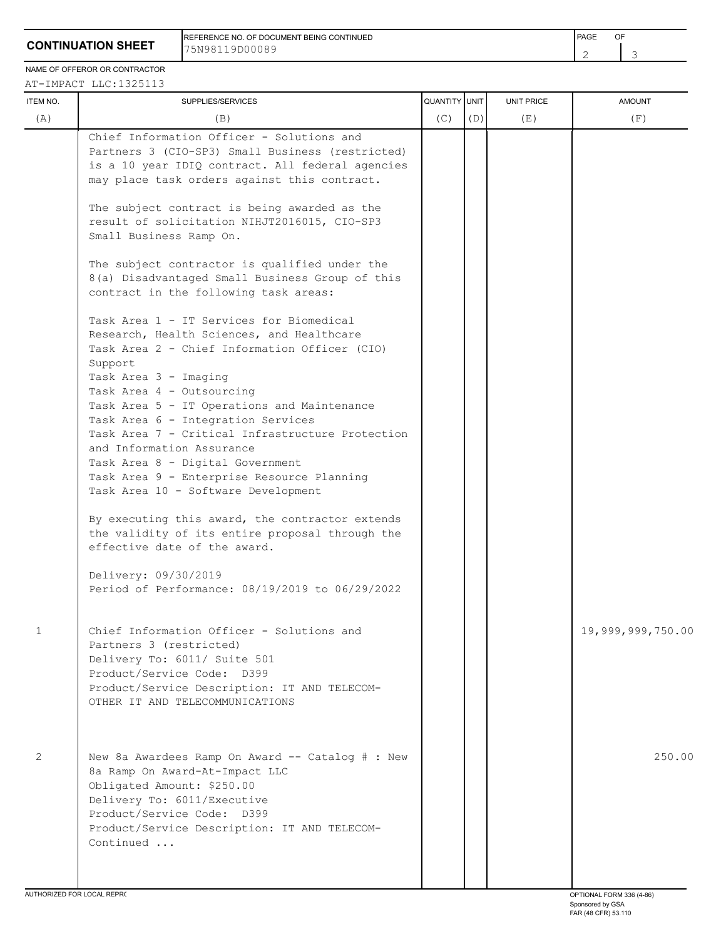REFERENCE NO. OF DOCUMENT BEING CONTINUED **FRAME OF A SECONT ASSAULT A SECONT A** PAGE OF 75N98119D00089

NAME OF OFFEROR OR CONTRACTOR  $\overline{1}$ 

| ITEM NO.     | SUPPLIES/SERVICES                                                                                                                                                                                                                                                                                                                                                                                                                                                                                                                               | QUANTITY UNIT |     | UNIT PRICE | <b>AMOUNT</b>     |
|--------------|-------------------------------------------------------------------------------------------------------------------------------------------------------------------------------------------------------------------------------------------------------------------------------------------------------------------------------------------------------------------------------------------------------------------------------------------------------------------------------------------------------------------------------------------------|---------------|-----|------------|-------------------|
| (A)          | (B)                                                                                                                                                                                                                                                                                                                                                                                                                                                                                                                                             | (C)           | (D) | (E)        | (F)               |
|              | Chief Information Officer - Solutions and<br>Partners 3 (CIO-SP3) Small Business (restricted)<br>is a 10 year IDIQ contract. All federal agencies<br>may place task orders against this contract.<br>The subject contract is being awarded as the<br>result of solicitation NIHJT2016015, CIO-SP3<br>Small Business Ramp On.<br>The subject contractor is qualified under the<br>8(a) Disadvantaged Small Business Group of this                                                                                                                |               |     |            |                   |
|              | contract in the following task areas:<br>Task Area 1 - IT Services for Biomedical<br>Research, Health Sciences, and Healthcare<br>Task Area 2 - Chief Information Officer (CIO)<br>Support<br>Task Area 3 - Imaging<br>Task Area 4 - Outsourcing<br>Task Area 5 - IT Operations and Maintenance<br>Task Area 6 - Integration Services<br>Task Area 7 - Critical Infrastructure Protection<br>and Information Assurance<br>Task Area 8 - Digital Government<br>Task Area 9 - Enterprise Resource Planning<br>Task Area 10 - Software Development |               |     |            |                   |
|              | By executing this award, the contractor extends<br>the validity of its entire proposal through the<br>effective date of the award.<br>Delivery: 09/30/2019                                                                                                                                                                                                                                                                                                                                                                                      |               |     |            |                   |
|              | Period of Performance: 08/19/2019 to 06/29/2022                                                                                                                                                                                                                                                                                                                                                                                                                                                                                                 |               |     |            |                   |
| $\mathbf{1}$ | Chief Information Officer - Solutions and<br>Partners 3 (restricted)<br>Delivery To: 6011/ Suite 501<br>Product/Service Code: D399<br>Product/Service Description: IT AND TELECOM-<br>OTHER IT AND TELECOMMUNICATIONS                                                                                                                                                                                                                                                                                                                           |               |     |            | 19,999,999,750.00 |
| 2            | New 8a Awardees Ramp On Award -- Catalog # : New<br>8a Ramp On Award-At-Impact LLC<br>Obligated Amount: \$250.00<br>Delivery To: 6011/Executive<br>Product/Service Code: D399<br>Product/Service Description: IT AND TELECOM-<br>Continued                                                                                                                                                                                                                                                                                                      |               |     |            | 250.00            |